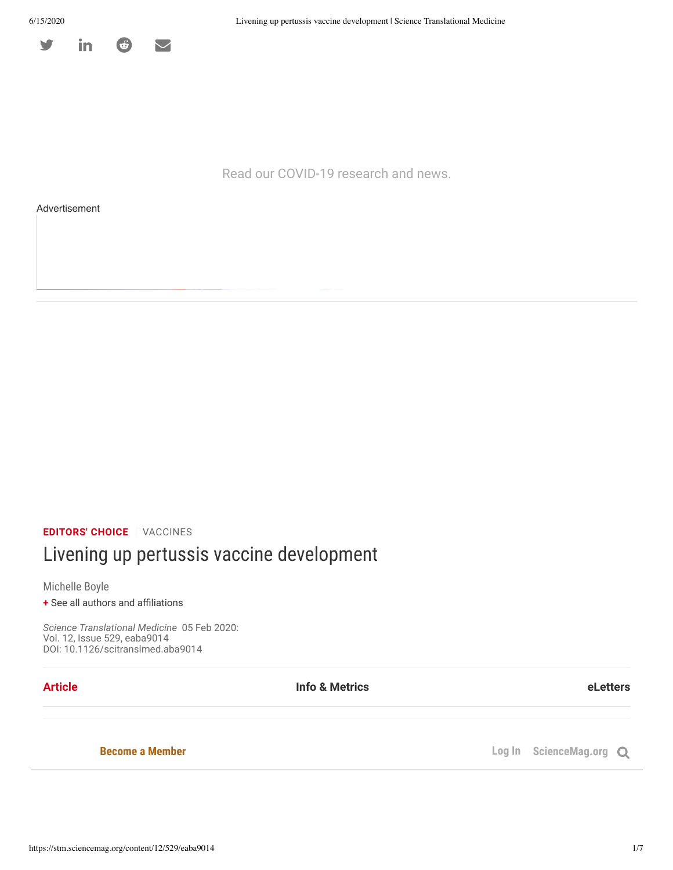

Read our COVID-19 research and news.

Advertisement

**EDITORS' CHOICE** VACCINES

# Livening up pertussis vaccine development

Michelle Boyle

**+** See all authors and affiliations

*Science Translational Medicine*  05 Feb 2020: Vol. 12, Issue 529, eaba9014 DOI: 10.1126/scitranslmed.aba9014

**Article Info & Metrics eLetters**

Vaccination with a *Bordetella pertussis* live attenuated vaccine induces a benecial T 1 cell bias

**Become a Member** 

**Log In** ScienceMag.org Q

H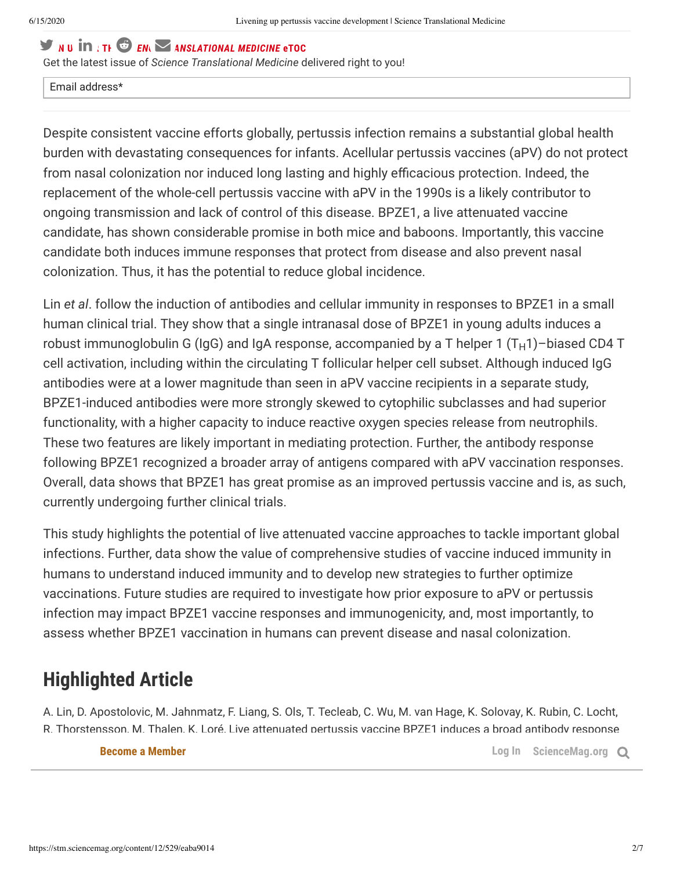# $\blacktriangleright$  **N**  $\textbf{u}$  **IN**  $\downarrow$  **TH**.  $\bigcirc$  *EN*

Get the latest issue of *Science Translational Medicine* delivered right to you!

#### Email address\*

Despite consistent vaccine efforts globally, pertussis infection remains a substantial global health burden with devastating consequences for infants. Acellular pertussis vaccines (aPV) do not protect from nasal colonization nor induced long lasting and highly efficacious protection. Indeed, the replacement of the whole-cell pertussis vaccine with aPV in the 1990s is a likely contributor to ongoing transmission and lack of control of this disease. BPZE1, a live attenuated vaccine candidate, has shown considerable promise in both mice and baboons. Importantly, this vaccine candidate both induces immune responses that protect from disease and also prevent nasal colonization. Thus, it has the potential to reduce global incidence.

Lin *et al*. follow the induction of antibodies and cellular immunity in responses to BPZE1 in a small human clinical trial. They show that a single intranasal dose of BPZE1 in young adults induces a robust immunoglobulin G (IgG) and IgA response, accompanied by a T helper 1 (T<sub>H</sub>1)–biased CD4 T cell activation, including within the circulating T follicular helper cell subset. Although induced IgG antibodies were at a lower magnitude than seen in aPV vaccine recipients in a separate study, BPZE1-induced antibodies were more strongly skewed to cytophilic subclasses and had superior functionality, with a higher capacity to induce reactive oxygen species release from neutrophils. These two features are likely important in mediating protection. Further, the antibody response following BPZE1 recognized a broader array of antigens compared with aPV vaccination responses. Overall, data shows that BPZE1 has great promise as an improved pertussis vaccine and is, as such, currently undergoing further clinical trials.

This study highlights the potential of live attenuated vaccine approaches to tackle important global infections. Further, data show the value of comprehensive studies of vaccine induced immunity in humans to understand induced immunity and to develop new strategies to further optimize vaccinations. Future studies are required to investigate how prior exposure to aPV or pertussis infection may impact BPZE1 vaccine responses and immunogenicity, and, most importantly, to assess whether BPZE1 vaccination in humans can prevent disease and nasal colonization.

# **Highlighted Article**

A. Lin, D. Apostolovic, M. Jahnmatz, F. Liang, S. Ols, T. Tecleab, C. Wu, M. van Hage, K. Solovay, K. Rubin, C. Locht, R. Thorstensson, M. Thalen, K. Loré, Live attenuated pertussis vaccine BPZE1 induces a broad antibody response

Copyright © 2020, American Association for the Advancement of Science

**in humans. In the first of the Scholar Scholar Scholar Scholar Scholar Scholar ScienceMag.org**  $\Omega$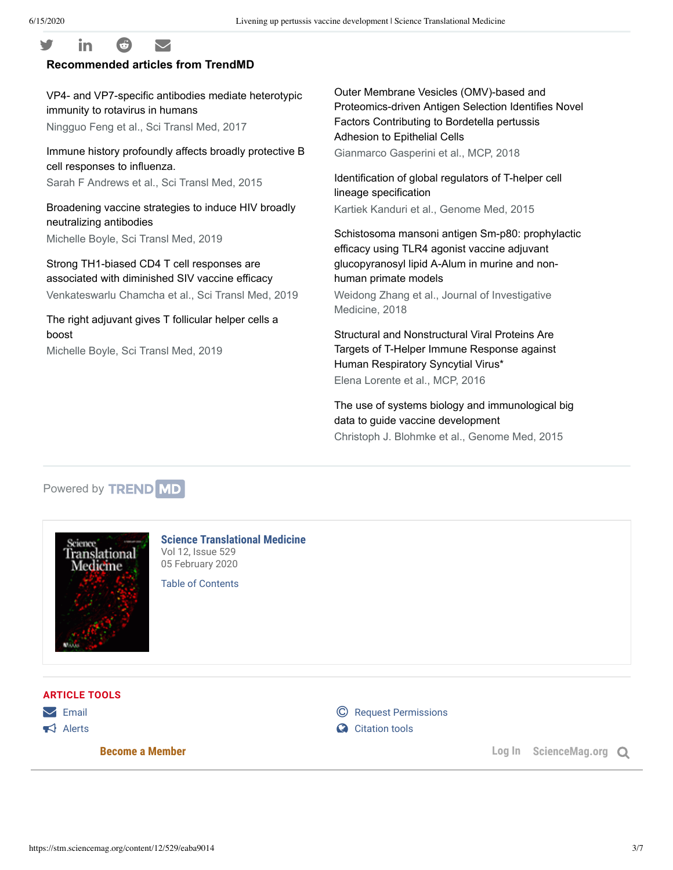### $\mathsf{y}$  in  $\mathsf{\Theta}$   $\heartsuit$ **Recommended articles from TrendMD**

VP4- and VP7-specific antibodies mediate heterotypic immunity to rotavirus in humans Ningguo Feng et al., Sci Transl Med, 2017

Immune history profoundly affects broadly protective B cell responses to influenza.

Sarah F Andrews et al., Sci Transl Med, 2015

Broadening vaccine strategies to induce HIV broadly neutralizing antibodies Michelle Boyle, Sci Transl Med, 2019

Strong TH1-biased CD4 T cell responses are associated with diminished SIV vaccine efficacy Venkateswarlu Chamcha et al., Sci Transl Med, 2019

The right adjuvant gives T follicular helper cells a boost

Michelle Boyle, Sci Transl Med, 2019

Outer Membrane Vesicles (OMV)-based and Proteomics-driven Antigen Selection Identifies Novel Factors Contributing to Bordetella pertussis Adhesion to Epithelial Cells Gianmarco Gasperini et al., MCP, 2018

Identification of global regulators of T-helper cell lineage specification Kartiek Kanduri et al., Genome Med, 2015

Schistosoma mansoni antigen Sm-p80: prophylactic efficacy using TLR4 agonist vaccine adjuvant glucopyranosyl lipid A-Alum in murine and nonhuman primate models

Weidong Zhang et al., Journal of Investigative Medicine, 2018

Structural and Nonstructural Viral Proteins Are Targets of T-Helper Immune Response against Human Respiratory Syncytial Virus\* Elena Lorente et al., MCP, 2016

The use of systems biology and immunological big data to guide vaccine development Christoph J. Blohmke et al., Genome Med, 2015

## Powered by **TREND MD**



**Science Translational Medicine** Vol 12, Issue 529 05 February 2020

Table of Contents

**ARTICLE TOOLS**

 $\triangleright$  Email  $\blacksquare$  Alerts  $\blacksquare$ 

**C** Request Permissions

Alerts Containing Containing Containing Containing Containing Containing Containing Containing Containing Containing Containing Containing Containing Containing Containing Containing Containing Containing Containing Contai

**Become a Member Log In ScienceMag.org**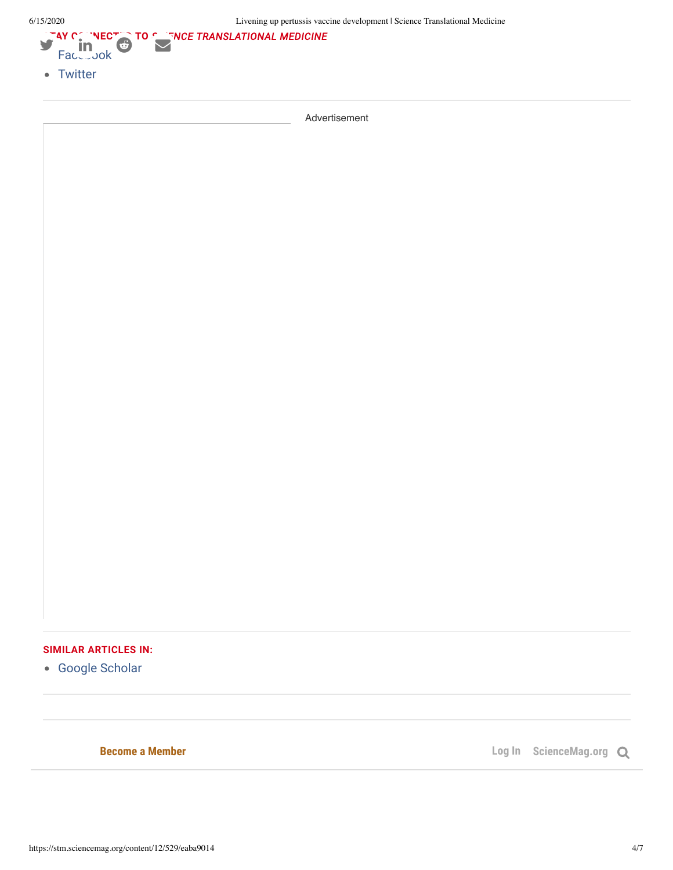

Advertisement

### **SIMILAR ARTICLES IN:**

Google Scholar

**Become a Member Log In ScienceMag.org Q**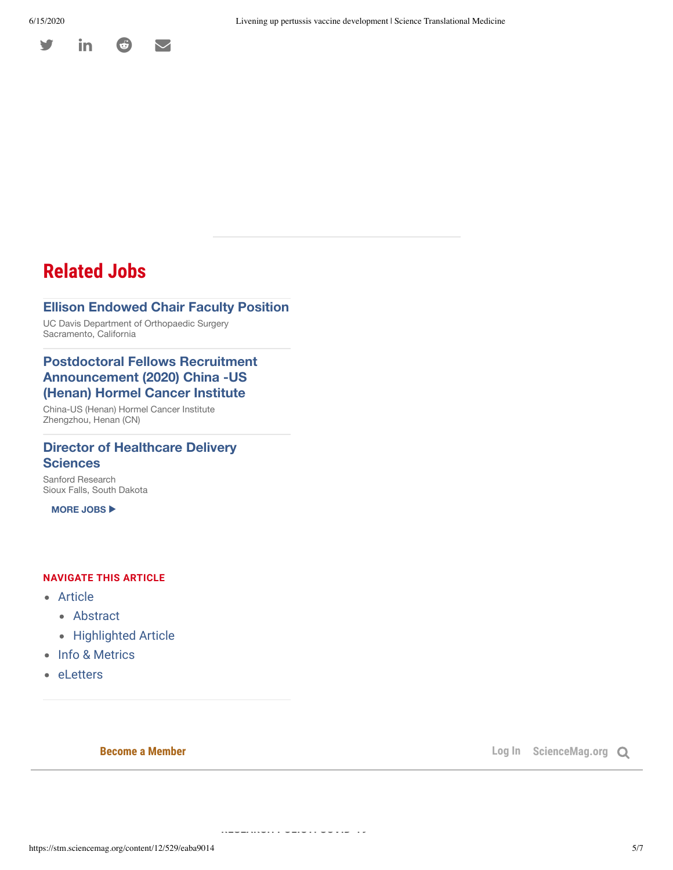

# **Related Jobs**

#### Ellison Endowed Chair Faculty Position

UC Davis Department of Orthopaedic Surgery Sacramento, California

#### Postdoctoral Fellows Recruitment Announcement (2020) China -US (Henan) Hormel Cancer Institute

China-US (Henan) Hormel Cancer Institute Zhengzhou, Henan (CN)

#### Director of Healthcare Delivery **Sciences**

Sanford Research Sioux Falls, South Dakota

MORE JOBS ▶

#### **NAVIGATE THIS ARTICLE**

- Article
	- Abstract
	- Highlighted Article
- Info & Metrics
- eLetters

**Recome a Member** 

**FEATURE** 

**RESEARCH POLICY: COVID-19**

**Log In** ScienceMag.org Q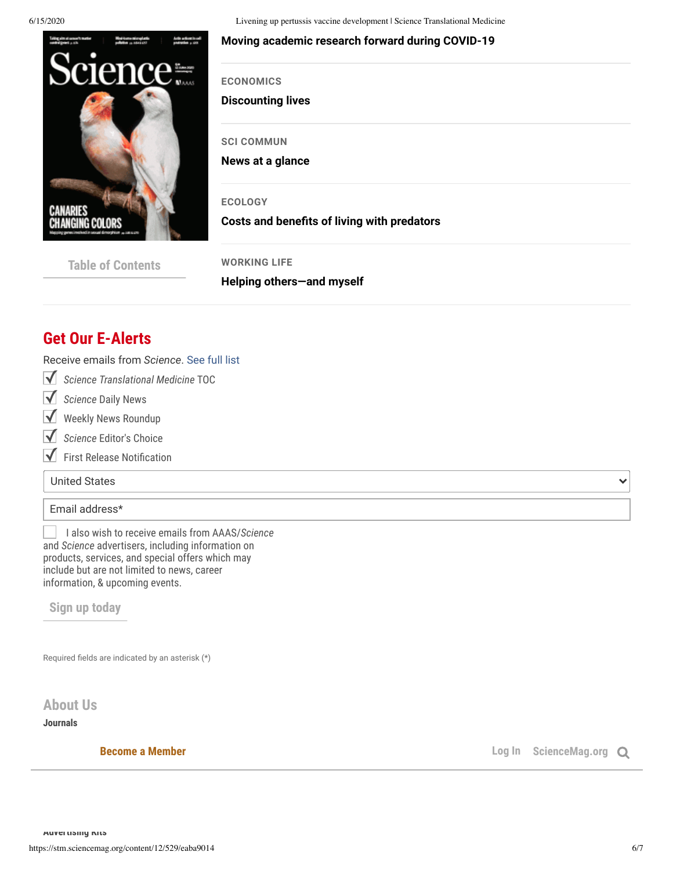

6/15/2020 Livening up pertussis vaccine development | Science Translational Medicine

#### ) 0 ( **Moving academic research forward during COVID-19**

**ECONOMICS**

**Discounting lives**

**SCI COMMUN**

**News at a glance**

**ECOLOGY**

**Costs and benefits of living with predators** 

| <b>Table of Contents</b> |  |
|--------------------------|--|
|--------------------------|--|

**WORKING LIFE Helping others—and myself**

# **Get Our E-Alerts**

Receive emails from *Science*. See full list

- *Science Translational Medicine* TOC
- **V** Science Daily News
- Weekly News Roundup  $\blacktriangledown$
- $\overline{\mathsf{v}}$ *Science* Editor's Choice
- $\blacktriangledown$  First Release Notification

United States

#### Email address\*

I also wish to receive emails from AAAS/*Science* and *Science* advertisers, including information on products, services, and special offers which may include but are not limited to news, career information, & upcoming events.

**Sign up today**

Required fields are indicated by an asterisk  $(*)$ 

**About Us**

**Team Members**

**Journals**

**Become a Member Compared Allen Compared Allen Compared Allen Compared Allen Compared Allen Compared Allen Compared Allen Compared Allen Compared Allen Compared Allen Compared Allen Compared Allen Compared Allen Compared** 

 $\checkmark$